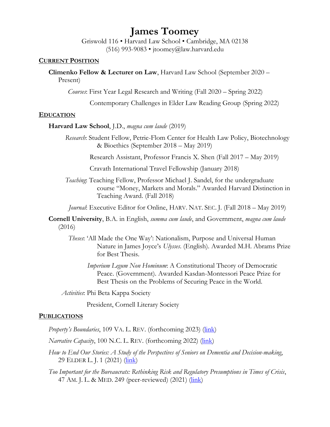# **James Toomey**

Griswold 116 • Harvard Law School • Cambridge, MA 02138 (516) 993-9083 • jtoomey@law.harvard.edu

## **CURRENT POSITION**

**Climenko Fellow & Lecturer on Law**, Harvard Law School (September 2020 – Present)

*Courses*: First Year Legal Research and Writing (Fall 2020 – Spring 2022)

Contemporary Challenges in Elder Law Reading Group (Spring 2022)

#### **EDUCATION**

#### **Harvard Law School**, J.D., *magna cum laude* (2019)

 *Research*: Student Fellow, Petrie-Flom Center for Health Law Policy, Biotechnology & Bioethics (September 2018 – May 2019)

Research Assistant, Professor Francis X. Shen (Fall 2017 – May 2019)

Cravath International Travel Fellowship (January 2018)

 *Teaching*: Teaching Fellow, Professor Michael J. Sandel, for the undergraduate course "Money, Markets and Morals." Awarded Harvard Distinction in Teaching Award. (Fall 2018)

*Journal*: Executive Editor for Online, HARV. NAT. SEC. J. (Fall 2018 – May 2019)

**Cornell University**, B.A. in English, *summa cum laude*, and Government, *magna cum laude* (2016)

- *Theses*: 'All Made the One Way': Nationalism, Purpose and Universal Human Nature in James Joyce's *Ulysses*. (English). Awarded M.H. Abrams Prize for Best Thesis.
	- *Imperium Legum Non Hominum*: A Constitutional Theory of Democratic Peace. (Government). Awarded Kasdan-Montessori Peace Prize for Best Thesis on the Problems of Securing Peace in the World.

*Activities*: Phi Beta Kappa Society

President, Cornell Literary Society

#### **PUBLICATIONS**

*Property's Boundaries*, 109 VA. L. REV. (forthcoming 2023) (*link*)

*Narrative Capacity*, 100 N.C. L. REV. (forthcoming 2022) (*link*)

- *How to End Our Stories: A Study of the Perspectives of Seniors on Dementia and Decision-making*, 29 ELDER L. J. 1 (2021) (*link*)
- *Too Important for the Bureaucrats: Rethinking Risk and Regulatory Presumptions in Times of Crisis*, 47 AM. J. L. & MED. 249 (peer-reviewed) (2021) [\(link\)](https://www.cambridge.org/core/journals/american-journal-of-law-and-medicine/article/abs/too-important-for-the-bureaucrats-rethinking-risk-and-regulatory-presumptions-in-times-of-crisis/3E55C135C28A9C5A2D960D51E46B143B)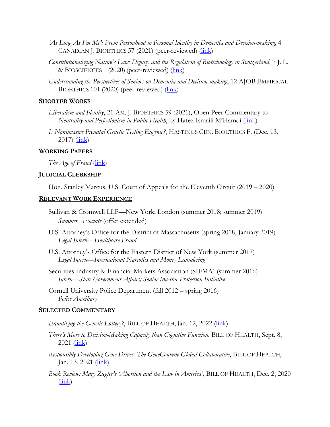- *'As Long As I'm Me': From Personhood to Personal Identity in Dementia and Decision-making*, 4 CANADIAN J. BIOETHICS 57 (2021) (peer-reviewed) [\(link\)](https://cjb-rcb.ca/index.php/cjb-rcb/article/view/326)
- *Constitutionalizing Nature's Law: Dignity and the Regulation of Biotechnology in Switzerland*, 7 J. L. & BIOSCIENCES 1 (2020) (peer-reviewed) [\(link\)](https://academic.oup.com/jlb/article/7/1/lsaa072/5981714)
- *Understanding the Perspectives of Seniors on Dementia and Decision-making*, 12 AJOB EMPIRICAL BIOETHICS 101 (2020) (peer-reviewed) [\(link\)](https://www.tandfonline.com/doi/full/10.1080/23294515.2020.1851807)

## **SHORTER WORKS**

- *Liberalism and Identity*, 21 AM. J. BIOETHICS 59 (2021), Open Peer Commentary to *Neutrality and Perfectionism in Public Health*, by Hafez Ismaili M'Hamdi [\(link\)](https://www.tandfonline.com/doi/full/10.1080/15265161.2021.1952337)
- *Is Noninvasive Prenatal Genetic Testing Eugenic?*, HASTINGS CEN. BIOETHICS F. (Dec. 13,  $2017$ )  $(\frac{\text{link}}{\text{link}})$

# **WORKING PAPERS**

*The Age of Fraud* (*link*)

## **JUDICIAL CLERKSHIP**

Hon. Stanley Marcus, U.S. Court of Appeals for the Eleventh Circuit (2019 – 2020)

## **RELEVANT WORK EXPERIENCE**

- Sullivan & Cromwell LLP—New York; London (summer 2018; summer 2019) *Summer Associate* (offer extended)
- U.S. Attorney's Office for the District of Massachusetts (spring 2018, January 2019) *Legal Intern*—*Healthcare Fraud*
- U.S. Attorney's Office for the Eastern District of New York (summer 2017) *Legal Intern—International Narcotics and Money Laundering*
- Securities Industry & Financial Markets Association (SIFMA) (summer 2016) *Intern—State Government Affairs; Senior Investor Protection Initiative*
- Cornell University Police Department (fall 2012 spring 2016) *Police Auxiliary*

#### **SELECTED COMMENTARY**

- *Equalizing the Genetic Lottery?*, BILL OF HEALTH, Jan. 12, 2022 [\(link\)](https://blog.petrieflom.law.harvard.edu/2022/01/12/equalizing-the-genetic-lottery/)
- *There's More to Decision-Making Capacity than Cognitive Function*, BILL OF HEALTH, Sept. 8,  $2021$  ( $\overline{\text{link}}$ )
- *Responsibly Developing Gene Drives: The GeneConvene Global Collaborative*, BILL OF HEALTH, Jan. 13, 2021  $(\frac{link}{)$
- *Book Review: Mary Ziegler's 'Abortion and the Law in America'*, BILL OF HEALTH, Dec. 2, 2020  $(\frac{\text{link}}{\text{link}})$